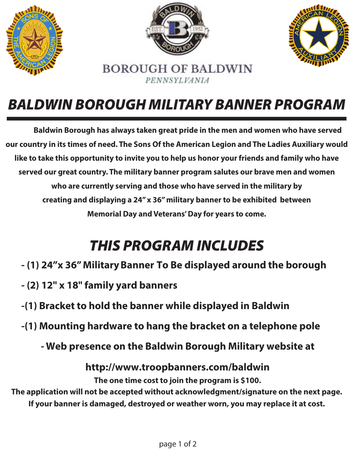

## *BALDWIN BOROUGH MILITARY BANNER PROGRAM*

**Baldwin Borough has always taken great pride in the men and women who have served our country in its times of need. The Sons Of the American Legion and The Ladies Auxiliary would like to take this opportunity to invite you to help us honor your friends and family who have served our great country. The military banner program salutes our brave men and women who are currently serving and those who have served in the military by creating and displaying a 24" x 36" military banner to be exhibited between Memorial Day and Veterans' Day for years to come.**

## *THIS PROGRAM INCLUDES*

- **(1) 24"x 36" Military Banner To Be displayed around the borough**
- **(2) 12" x 18" family yard banners**
- **-(1) Bracket to hold the banner while displayed in Baldwin**
- **-(1) Mounting hardware to hang the bracket on a telephone pole**
	- **- Web presence on the Baldwin Borough Military website at**

**http://www.troopbanners.com/baldwin**

**The one time cost to join the program is \$100.**

**The application will not be accepted without acknowledgment/signature on the next page. If your banner is damaged, destroyed or weather worn, you may replace it at cost.**